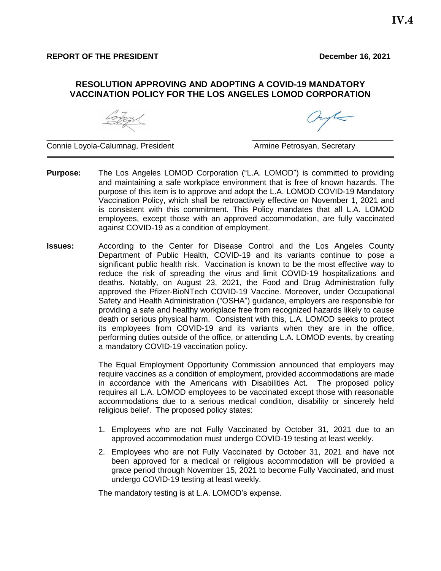#### **RESOLUTION APPROVING AND ADOPTING A COVID-19 MANDATORY VACCINATION POLICY FOR THE LOS ANGELES LOMOD CORPORATION**

 $\_$  . The contract of the contract of the contract of the contract of the contract of the contract of the contract of the contract of the contract of the contract of the contract of the contract of the contract of the con

Continuer

Connie Loyola-Calumnag, President Armine Petrosyan, Secretary

- **Purpose:** The Los Angeles LOMOD Corporation ("L.A. LOMOD") is committed to providing and maintaining a safe workplace environment that is free of known hazards. The purpose of this item is to approve and adopt the L.A. LOMOD COVID-19 Mandatory Vaccination Policy, which shall be retroactively effective on November 1, 2021 and is consistent with this commitment. This Policy mandates that all L.A. LOMOD employees, except those with an approved accommodation, are fully vaccinated against COVID-19 as a condition of employment.
- **Issues:** According to the Center for Disease Control and the Los Angeles County Department of Public Health, COVID-19 and its variants continue to pose a significant public health risk. Vaccination is known to be the most effective way to reduce the risk of spreading the virus and limit COVID-19 hospitalizations and deaths. Notably, on August 23, 2021, the Food and Drug Administration fully approved the Pfizer-BioNTech COVID-19 Vaccine. Moreover, under Occupational Safety and Health Administration ("OSHA") guidance, employers are responsible for providing a [safe and healthy workplace free from recognized](https://www.osha.gov/laws-regs/oshact/section5-duties) hazards likely to cause death or serious physical harm. Consistent with this, L.A. LOMOD seeks to protect its employees from COVID-19 and its variants when they are in the office, performing duties outside of the office, or attending L.A. LOMOD events, by creating a mandatory COVID-19 vaccination policy.

The Equal Employment Opportunity Commission announced that employers may require vaccines as a condition of employment, provided accommodations are made in accordance with the Americans with Disabilities Act. The proposed policy requires all L.A. LOMOD employees to be vaccinated except those with reasonable accommodations due to a serious medical condition, disability or sincerely held religious belief. The proposed policy states:

- 1. Employees who are not Fully Vaccinated by October 31, 2021 due to an approved accommodation must undergo COVID-19 testing at least weekly.
- 2. Employees who are not Fully Vaccinated by October 31, 2021 and have not been approved for a medical or religious accommodation will be provided a grace period through November 15, 2021 to become Fully Vaccinated, and must undergo COVID-19 testing at least weekly.

The mandatory testing is at L.A. LOMOD's expense.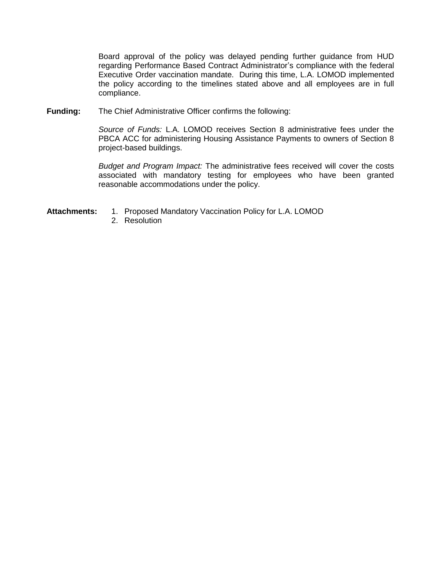Board approval of the policy was delayed pending further guidance from HUD regarding Performance Based Contract Administrator's compliance with the federal Executive Order vaccination mandate. During this time, L.A. LOMOD implemented the policy according to the timelines stated above and all employees are in full compliance.

**Funding:** The Chief Administrative Officer confirms the following:

*Source of Funds:* L.A. LOMOD receives Section 8 administrative fees under the PBCA ACC for administering Housing Assistance Payments to owners of Section 8 project-based buildings.

*Budget and Program Impact:* The administrative fees received will cover the costs associated with mandatory testing for employees who have been granted reasonable accommodations under the policy.

- **Attachments:** 1. Proposed Mandatory Vaccination Policy for L.A. LOMOD
	- 2. Resolution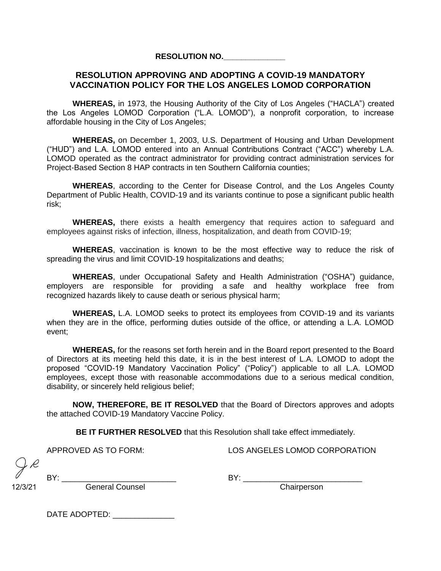#### **RESOLUTION NO.\_\_\_\_\_\_\_\_\_\_\_\_\_\_**

#### **RESOLUTION APPROVING AND ADOPTING A COVID-19 MANDATORY VACCINATION POLICY FOR THE LOS ANGELES LOMOD CORPORATION**

**WHEREAS,** in 1973, the Housing Authority of the City of Los Angeles ("HACLA") created the Los Angeles LOMOD Corporation ("L.A. LOMOD"), a nonprofit corporation, to increase affordable housing in the City of Los Angeles;

**WHEREAS,** on December 1, 2003, U.S. Department of Housing and Urban Development ("HUD") and L.A. LOMOD entered into an Annual Contributions Contract ("ACC") whereby L.A. LOMOD operated as the contract administrator for providing contract administration services for Project-Based Section 8 HAP contracts in ten Southern California counties;

**WHEREAS**, according to the Center for Disease Control, and the Los Angeles County Department of Public Health, COVID-19 and its variants continue to pose a significant public health risk;

**WHEREAS,** there exists a health emergency that requires action to safeguard and employees against risks of infection, illness, hospitalization, and death from COVID-19;

**WHEREAS**, vaccination is known to be the most effective way to reduce the risk of spreading the virus and limit COVID-19 hospitalizations and deaths;

**WHEREAS**, under Occupational Safety and Health Administration ("OSHA") guidance, employers are responsible for providing a [safe and healthy workplace free from](https://www.osha.gov/laws-regs/oshact/section5-duties)  [recognized](https://www.osha.gov/laws-regs/oshact/section5-duties) hazards likely to cause death or serious physical harm;

**WHEREAS,** L.A. LOMOD seeks to protect its employees from COVID-19 and its variants when they are in the office, performing duties outside of the office, or attending a L.A. LOMOD event;

**WHEREAS,** for the reasons set forth herein and in the Board report presented to the Board of Directors at its meeting held this date, it is in the best interest of L.A. LOMOD to adopt the proposed "COVID-19 Mandatory Vaccination Policy" ("Policy") applicable to all L.A. LOMOD employees, except those with reasonable accommodations due to a serious medical condition, disability, or sincerely held religious belief;

**NOW, THEREFORE, BE IT RESOLVED** that the Board of Directors approves and adopts the attached COVID-19 Mandatory Vaccine Policy.

**BE IT FURTHER RESOLVED** that this Resolution shall take effect immediately.

APPROVED AS TO FORM: LOS ANGELES LOMOD CORPORATION

12/3/21

BY: \_\_\_\_\_\_\_\_\_\_\_\_\_\_\_\_\_\_\_\_\_\_\_\_\_\_ BY: \_\_\_\_\_\_\_\_\_\_\_\_\_\_\_\_\_\_\_\_\_\_\_\_\_\_\_ General Counsel

DATE ADOPTED: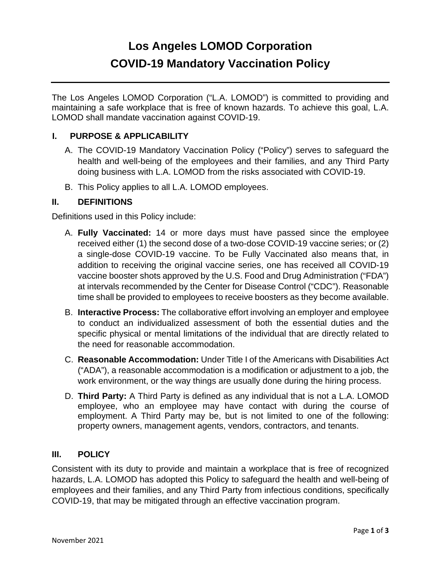# **Los Angeles LOMOD Corporation COVID-19 Mandatory Vaccination Policy**

The Los Angeles LOMOD Corporation ("L.A. LOMOD") is committed to providing and maintaining a safe workplace that is free of known hazards. To achieve this goal, L.A. LOMOD shall mandate vaccination against COVID-19.

# **I. PURPOSE & APPLICABILITY**

- A. The COVID-19 Mandatory Vaccination Policy ("Policy") serves to safeguard the health and well-being of the employees and their families, and any Third Party doing business with L.A. LOMOD from the risks associated with COVID-19.
- B. This Policy applies to all L.A. LOMOD employees.

# **II. DEFINITIONS**

Definitions used in this Policy include:

- A. **Fully Vaccinated:** 14 or more days must have passed since the employee received either (1) the second dose of a two-dose COVID-19 vaccine series; or (2) a single-dose COVID-19 vaccine. To be Fully Vaccinated also means that, in addition to receiving the original vaccine series, one has received all COVID-19 vaccine booster shots approved by the U.S. Food and Drug Administration ("FDA") at intervals recommended by the Center for Disease Control ("CDC"). Reasonable time shall be provided to employees to receive boosters as they become available.
- B. **Interactive Process:** The collaborative effort involving an employer and employee to conduct an individualized assessment of both the essential duties and the specific physical or mental limitations of the individual that are directly related to the need for reasonable accommodation.
- C. **Reasonable Accommodation:** Under Title I of the Americans with Disabilities Act ("ADA"), a reasonable accommodation is a modification or adjustment to a job, the work environment, or the way things are usually done during the hiring process.
- D. **Third Party:** A Third Party is defined as any individual that is not a L.A. LOMOD employee, who an employee may have contact with during the course of employment. A Third Party may be, but is not limited to one of the following: property owners, management agents, vendors, contractors, and tenants.

### **III. POLICY**

Consistent with its duty to provide and maintain a workplace that is free of recognized hazards, L.A. LOMOD has adopted this Policy to safeguard the health and well-being of employees and their families, and any Third Party from infectious conditions, specifically COVID-19, that may be mitigated through an effective vaccination program.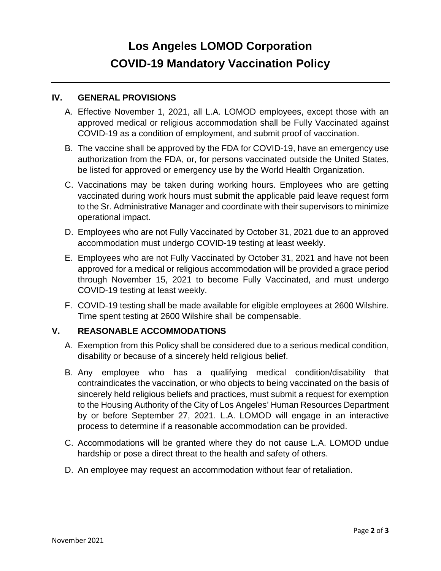# **Los Angeles LOMOD Corporation COVID-19 Mandatory Vaccination Policy**

### **IV. GENERAL PROVISIONS**

- A. Effective November 1, 2021, all L.A. LOMOD employees, except those with an approved medical or religious accommodation shall be Fully Vaccinated against COVID-19 as a condition of employment, and submit proof of vaccination.
- B. The vaccine shall be approved by the FDA for COVID-19, have an emergency use authorization from the FDA, or, for persons vaccinated outside the United States, be listed for approved or emergency use by the World Health Organization.
- C. Vaccinations may be taken during working hours. Employees who are getting vaccinated during work hours must submit the applicable paid leave request form to the Sr. Administrative Manager and coordinate with their supervisors to minimize operational impact.
- D. Employees who are not Fully Vaccinated by October 31, 2021 due to an approved accommodation must undergo COVID-19 testing at least weekly.
- E. Employees who are not Fully Vaccinated by October 31, 2021 and have not been approved for a medical or religious accommodation will be provided a grace period through November 15, 2021 to become Fully Vaccinated, and must undergo COVID-19 testing at least weekly.
- F. COVID-19 testing shall be made available for eligible employees at 2600 Wilshire. Time spent testing at 2600 Wilshire shall be compensable.

# **V. REASONABLE ACCOMMODATIONS**

- A. Exemption from this Policy shall be considered due to a serious medical condition, disability or because of a sincerely held religious belief.
- B. Any employee who has a qualifying medical condition/disability that contraindicates the vaccination, or who objects to being vaccinated on the basis of sincerely held religious beliefs and practices, must submit a request for exemption to the Housing Authority of the City of Los Angeles' Human Resources Department by or before September 27, 2021. L.A. LOMOD will engage in an interactive process to determine if a reasonable accommodation can be provided.
- C. Accommodations will be granted where they do not cause L.A. LOMOD undue hardship or pose a direct threat to the health and safety of others.
- D. An employee may request an accommodation without fear of retaliation.